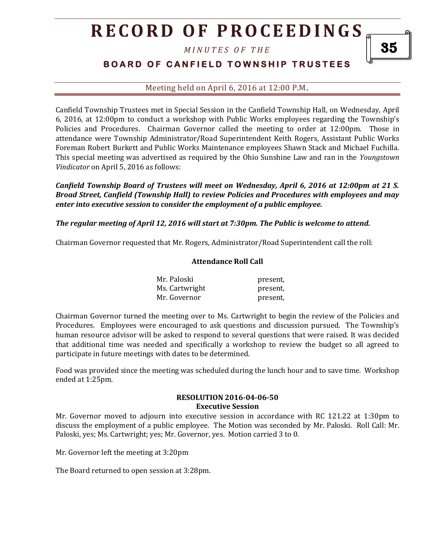# **R E C O R D O F P R O C E E D I N GS**

*M I N U T E S O F T H E* 

### **BOARD OF CANFIELD TOWNSHIP TRUSTEES**

Meeting held on April 6, 2016 at 12:00 P.M**.**

Canfield Township Trustees met in Special Session in the Canfield Township Hall, on Wednesday, April 6, 2016, at 12:00pm to conduct a workshop with Public Works employees regarding the Township's Policies and Procedures. Chairman Governor called the meeting to order at 12:00pm. Those in attendance were Township Administrator/Road Superintendent Keith Rogers, Assistant Public Works Foreman Robert Burkett and Public Works Maintenance employees Shawn Stack and Michael Fuchilla. This special meeting was advertised as required by the Ohio Sunshine Law and ran in the *Youngstown Vindicator* on April 5, 2016 as follows:

*Canfield Township Board of Trustees will meet on Wednesday, April 6, 2016 at 12:00pm at 21 S. Broad Street, Canfield (Township Hall) to review Policies and Procedures with employees and may enter into executive session to consider the employment of a public employee.* 

*The regular meeting of April 12, 2016 will start at 7:30pm. The Public is welcome to attend.*

Chairman Governor requested that Mr. Rogers, Administrator/Road Superintendent call the roll:

#### **Attendance Roll Call**

| Mr. Paloski    | present, |
|----------------|----------|
| Ms. Cartwright | present, |
| Mr. Governor   | present, |

Chairman Governor turned the meeting over to Ms. Cartwright to begin the review of the Policies and Procedures. Employees were encouraged to ask questions and discussion pursued. The Township's human resource advisor will be asked to respond to several questions that were raised. It was decided that additional time was needed and specifically a workshop to review the budget so all agreed to participate in future meetings with dates to be determined.

Food was provided since the meeting was scheduled during the lunch hour and to save time. Workshop ended at 1:25pm.

#### **RESOLUTION 2016-04-06-50 Executive Session**

Mr. Governor moved to adjourn into executive session in accordance with RC 121.22 at 1:30pm to discuss the employment of a public employee. The Motion was seconded by Mr. Paloski. Roll Call: Mr. Paloski, yes; Ms. Cartwright; yes; Mr. Governor, yes. Motion carried 3 to 0.

Mr. Governor left the meeting at 3:20pm

The Board returned to open session at 3:28pm.

35